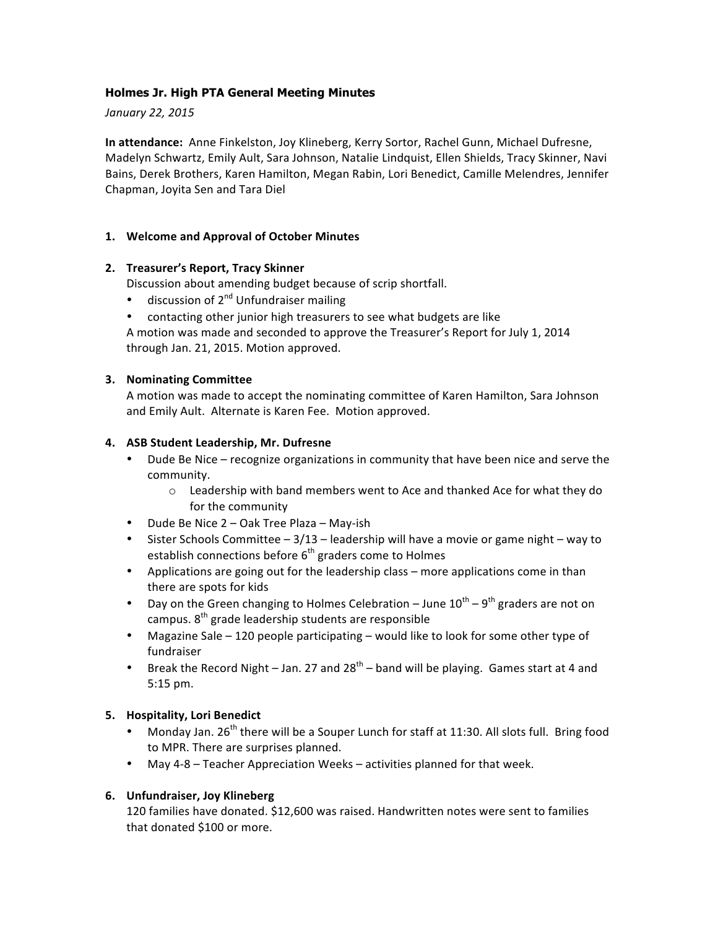# **Holmes Jr. High PTA General Meeting Minutes**

*January 22, 2015*

**In attendance:** Anne Finkelston, Joy Klineberg, Kerry Sortor, Rachel Gunn, Michael Dufresne, Madelyn Schwartz, Emily Ault, Sara Johnson, Natalie Lindquist, Ellen Shields, Tracy Skinner, Navi Bains, Derek Brothers, Karen Hamilton, Megan Rabin, Lori Benedict, Camille Melendres, Jennifer Chapman, Joyita Sen and Tara Diel

## **1. Welcome and Approval of October Minutes**

## **2. Treasurer's Report, Tracy Skinner**

Discussion about amending budget because of scrip shortfall.

- discussion of  $2^{nd}$  Unfundraiser mailing
- contacting other junior high treasurers to see what budgets are like

A motion was made and seconded to approve the Treasurer's Report for July 1, 2014 through Jan. 21, 2015. Motion approved.

#### **3. Nominating Committee**

A motion was made to accept the nominating committee of Karen Hamilton, Sara Johnson and Emily Ault. Alternate is Karen Fee. Motion approved.

## **4. ASB Student Leadership, Mr. Dufresne**

- Dude Be Nice recognize organizations in community that have been nice and serve the community.
	- $\circ$  Leadership with band members went to Ace and thanked Ace for what they do for the community
- Dude Be Nice  $2 0$ ak Tree Plaza May-ish
- Sister Schools Committee  $-3/13$  leadership will have a movie or game night way to establish connections before  $6<sup>th</sup>$  graders come to Holmes
- Applications are going out for the leadership class more applications come in than there are spots for kids
- Day on the Green changing to Holmes Celebration June  $10^{\text{th}} 9^{\text{th}}$  graders are not on campus. 8<sup>th</sup> grade leadership students are responsible
- Magazine Sale  $-120$  people participating  $-$  would like to look for some other type of fundraiser
- Break the Record Night Jan. 27 and  $28<sup>th</sup>$  band will be playing. Games start at 4 and 5:15 pm.

# **5. Hospitality, Lori Benedict**

- Monday Jan.  $26^{th}$  there will be a Souper Lunch for staff at 11:30. All slots full. Bring food to MPR. There are surprises planned.
- May 4-8 Teacher Appreciation Weeks activities planned for that week.

## **6. Unfundraiser, Joy Klineberg**

120 families have donated. \$12,600 was raised. Handwritten notes were sent to families that donated \$100 or more.